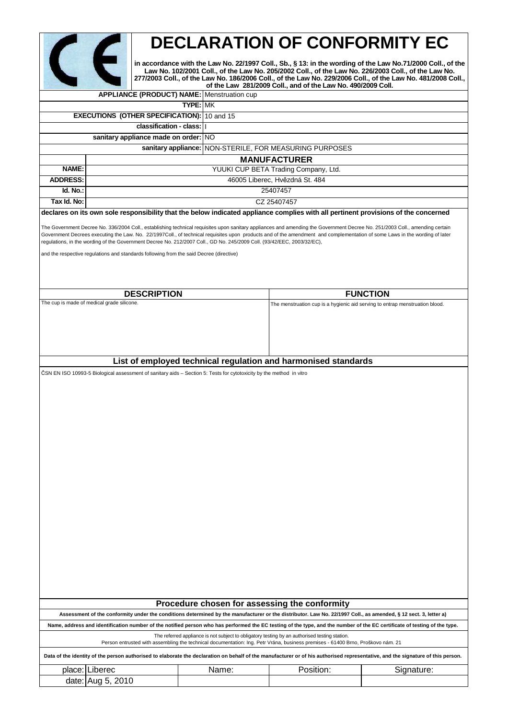|                                                                                                                                                                                                                                                                                                                                                                                                                                                                                                                                                                                   |                                                                                                                                                                                                                                                                                                                                                                                                     |          |       | <b>DECLARATION OF CONFORMITY EC</b>                                          |                                                                                                                                                                                 |  |  |
|-----------------------------------------------------------------------------------------------------------------------------------------------------------------------------------------------------------------------------------------------------------------------------------------------------------------------------------------------------------------------------------------------------------------------------------------------------------------------------------------------------------------------------------------------------------------------------------|-----------------------------------------------------------------------------------------------------------------------------------------------------------------------------------------------------------------------------------------------------------------------------------------------------------------------------------------------------------------------------------------------------|----------|-------|------------------------------------------------------------------------------|---------------------------------------------------------------------------------------------------------------------------------------------------------------------------------|--|--|
|                                                                                                                                                                                                                                                                                                                                                                                                                                                                                                                                                                                   | in accordance with the Law No. 22/1997 Coll., Sb., § 13: in the wording of the Law No.71/2000 Coll., of the<br>Law No. 102/2001 Coll., of the Law No. 205/2002 Coll., of the Law No. 226/2003 Coll., of the Law No.<br>277/2003 Coll., of the Law No. 186/2006 Coll., of the Law No. 229/2006 Coll., of the Law No. 481/2008 Coll.,<br>of the Law 281/2009 Coll., and of the Law No. 490/2009 Coll. |          |       |                                                                              |                                                                                                                                                                                 |  |  |
|                                                                                                                                                                                                                                                                                                                                                                                                                                                                                                                                                                                   | <b>APPLIANCE (PRODUCT) NAME:</b> Menstruation cup                                                                                                                                                                                                                                                                                                                                                   |          |       |                                                                              |                                                                                                                                                                                 |  |  |
| <b>TYPE: MK</b>                                                                                                                                                                                                                                                                                                                                                                                                                                                                                                                                                                   |                                                                                                                                                                                                                                                                                                                                                                                                     |          |       |                                                                              |                                                                                                                                                                                 |  |  |
| <b>EXECUTIONS (OTHER SPECIFICATION): 10 and 15</b>                                                                                                                                                                                                                                                                                                                                                                                                                                                                                                                                |                                                                                                                                                                                                                                                                                                                                                                                                     |          |       |                                                                              |                                                                                                                                                                                 |  |  |
| classification - class:                                                                                                                                                                                                                                                                                                                                                                                                                                                                                                                                                           |                                                                                                                                                                                                                                                                                                                                                                                                     |          |       |                                                                              |                                                                                                                                                                                 |  |  |
|                                                                                                                                                                                                                                                                                                                                                                                                                                                                                                                                                                                   | sanitary appliance made on order: NO                                                                                                                                                                                                                                                                                                                                                                |          |       |                                                                              |                                                                                                                                                                                 |  |  |
|                                                                                                                                                                                                                                                                                                                                                                                                                                                                                                                                                                                   | NON-STERILE, FOR MEASURING PURPOSES<br>sanitary appliance:                                                                                                                                                                                                                                                                                                                                          |          |       |                                                                              |                                                                                                                                                                                 |  |  |
| NAME:                                                                                                                                                                                                                                                                                                                                                                                                                                                                                                                                                                             | <b>MANUFACTURER</b><br>YUUKI CUP BETA Trading Company, Ltd.                                                                                                                                                                                                                                                                                                                                         |          |       |                                                                              |                                                                                                                                                                                 |  |  |
| <b>ADDRESS:</b>                                                                                                                                                                                                                                                                                                                                                                                                                                                                                                                                                                   |                                                                                                                                                                                                                                                                                                                                                                                                     |          |       | 46005 Liberec, Hvězdná St. 484                                               |                                                                                                                                                                                 |  |  |
| Id. No.:                                                                                                                                                                                                                                                                                                                                                                                                                                                                                                                                                                          |                                                                                                                                                                                                                                                                                                                                                                                                     | 25407457 |       |                                                                              |                                                                                                                                                                                 |  |  |
| Tax Id. No:                                                                                                                                                                                                                                                                                                                                                                                                                                                                                                                                                                       |                                                                                                                                                                                                                                                                                                                                                                                                     |          |       | CZ 25407457                                                                  |                                                                                                                                                                                 |  |  |
|                                                                                                                                                                                                                                                                                                                                                                                                                                                                                                                                                                                   | declares on its own sole responsibility that the below indicated appliance complies with all pertinent provisions of the concerned                                                                                                                                                                                                                                                                  |          |       |                                                                              |                                                                                                                                                                                 |  |  |
| The Government Decree No. 336/2004 Coll., establishing technical requisites upon sanitary appliances and amending the Government Decree No. 251/2003 Coll., amending certain<br>Government Decrees executing the Law. No. 22/1997Coll., of technical requisites upon products and of the amendment and complementation of some Laws in the wording of later<br>regulations, in the wording of the Government Decree No. 212/2007 Coll., GD No. 245/2009 Coll. (93/42/EEC, 2003/32/EC),<br>and the respective regulations and standards following from the said Decree (directive) |                                                                                                                                                                                                                                                                                                                                                                                                     |          |       |                                                                              |                                                                                                                                                                                 |  |  |
|                                                                                                                                                                                                                                                                                                                                                                                                                                                                                                                                                                                   | <b>DESCRIPTION</b>                                                                                                                                                                                                                                                                                                                                                                                  |          |       |                                                                              | <b>FUNCTION</b>                                                                                                                                                                 |  |  |
|                                                                                                                                                                                                                                                                                                                                                                                                                                                                                                                                                                                   | The cup is made of medical grade silicone.                                                                                                                                                                                                                                                                                                                                                          |          |       | The menstruation cup is a hygienic aid serving to entrap menstruation blood. |                                                                                                                                                                                 |  |  |
| List of employed technical regulation and harmonised standards<br>ČSN EN ISO 10993-5 Biological assessment of sanitary aids – Section 5: Tests for cytotoxicity by the method in vitro                                                                                                                                                                                                                                                                                                                                                                                            |                                                                                                                                                                                                                                                                                                                                                                                                     |          |       |                                                                              |                                                                                                                                                                                 |  |  |
|                                                                                                                                                                                                                                                                                                                                                                                                                                                                                                                                                                                   |                                                                                                                                                                                                                                                                                                                                                                                                     |          |       |                                                                              |                                                                                                                                                                                 |  |  |
| Procedure chosen for assessing the conformity<br>Assessment of the conformity under the conditions determined by the manufacturer or the distributor. Law No. 22/1997 Coll., as amended, § 12 sect. 3, letter a)                                                                                                                                                                                                                                                                                                                                                                  |                                                                                                                                                                                                                                                                                                                                                                                                     |          |       |                                                                              |                                                                                                                                                                                 |  |  |
| Name, address and identification number of the notified person who has performed the EC testing of the type, and the number of the EC certificate of testing of the type.                                                                                                                                                                                                                                                                                                                                                                                                         |                                                                                                                                                                                                                                                                                                                                                                                                     |          |       |                                                                              |                                                                                                                                                                                 |  |  |
| The referred appliance is not subject to obligatory testing by an authorised testing station.<br>Person entrusted with assembling the technical documentation: Ing. Petr Vrána, business premises - 61400 Brno, Proškovo nám. 21                                                                                                                                                                                                                                                                                                                                                  |                                                                                                                                                                                                                                                                                                                                                                                                     |          |       |                                                                              |                                                                                                                                                                                 |  |  |
|                                                                                                                                                                                                                                                                                                                                                                                                                                                                                                                                                                                   |                                                                                                                                                                                                                                                                                                                                                                                                     |          |       |                                                                              | Data of the identity of the person authorised to elaborate the declaration on behalf of the manufacturer or of his authorised representative, and the signature of this person. |  |  |
|                                                                                                                                                                                                                                                                                                                                                                                                                                                                                                                                                                                   | place: Liberec                                                                                                                                                                                                                                                                                                                                                                                      |          | Name: | Position:                                                                    | Signature:                                                                                                                                                                      |  |  |
|                                                                                                                                                                                                                                                                                                                                                                                                                                                                                                                                                                                   | date: Aug 5, 2010                                                                                                                                                                                                                                                                                                                                                                                   |          |       |                                                                              |                                                                                                                                                                                 |  |  |